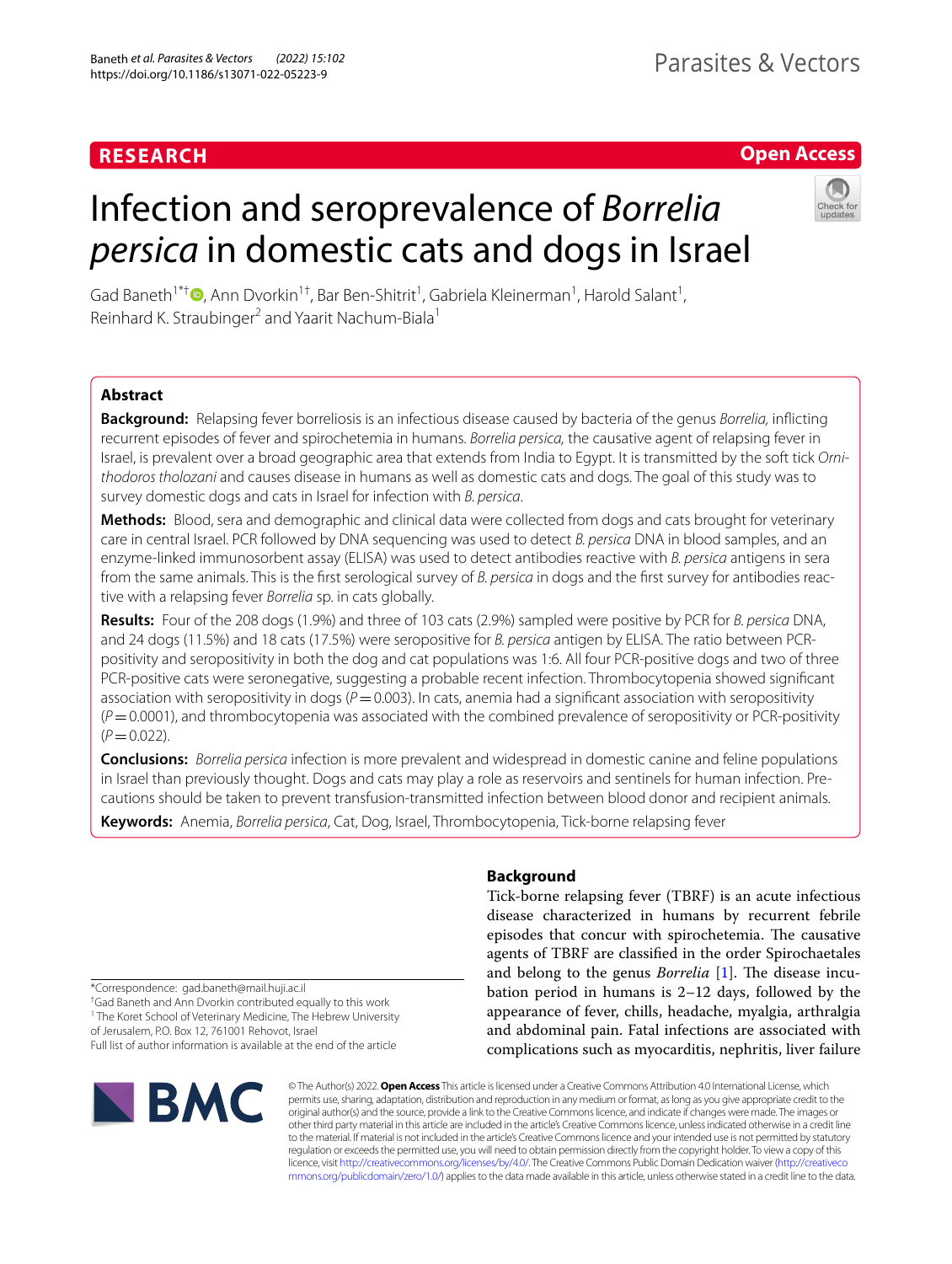## **RESEARCH**

## **Open Access**

# Infection and seroprevalence of *Borrelia persica* in domestic cats and dogs in Israel



Gad Baneth<sup>1\*[†](http://orcid.org/0000-0002-7549-1305)</sup> D, Ann Dvorkin<sup>1†</sup>, Bar Ben-Shitrit<sup>1</sup>, Gabriela Kleinerman<sup>1</sup>, Harold Salant<sup>1</sup>, Reinhard K. Straubinger<sup>2</sup> and Yaarit Nachum-Biala<sup>1</sup>

## **Abstract**

**Background:** Relapsing fever borreliosis is an infectious disease caused by bacteria of the genus *Borrelia,* inficting recurrent episodes of fever and spirochetemia in humans. *Borrelia persica,* the causative agent of relapsing fever in Israel, is prevalent over a broad geographic area that extends from India to Egypt. It is transmitted by the soft tick *Ornithodoros tholozani* and causes disease in humans as well as domestic cats and dogs. The goal of this study was to survey domestic dogs and cats in Israel for infection with *B. persica*.

**Methods:** Blood, sera and demographic and clinical data were collected from dogs and cats brought for veterinary care in central Israel. PCR followed by DNA sequencing was used to detect *B. persica* DNA in blood samples, and an enzyme-linked immunosorbent assay (ELISA) was used to detect antibodies reactive with *B. persica* antigens in sera from the same animals. This is the first serological survey of *B. persica* in dogs and the first survey for antibodies reactive with a relapsing fever *Borrelia* sp. in cats globally.

**Results:** Four of the 208 dogs (1.9%) and three of 103 cats (2.9%) sampled were positive by PCR for *B. persica* DNA, and 24 dogs (11.5%) and 18 cats (17.5%) were seropositive for *B. persica* antigen by ELISA. The ratio between PCRpositivity and seropositivity in both the dog and cat populations was 1:6. All four PCR-positive dogs and two of three PCR-positive cats were seronegative, suggesting a probable recent infection. Thrombocytopenia showed signifcant association with seropositivity in dogs ( $P=0.003$ ). In cats, anemia had a significant association with seropositivity  $(P=0.0001)$ , and thrombocytopenia was associated with the combined prevalence of seropositivity or PCR-positivity  $(P=0.022)$ .

**Conclusions:** *Borrelia persica* infection is more prevalent and widespread in domestic canine and feline populations in Israel than previously thought. Dogs and cats may play a role as reservoirs and sentinels for human infection. Precautions should be taken to prevent transfusion-transmitted infection between blood donor and recipient animals.

**Keywords:** Anemia, *Borrelia persica*, Cat, Dog, Israel, Thrombocytopenia, Tick-borne relapsing fever

\*Correspondence: gad.baneth@mail.huji.ac.il

† Gad Baneth and Ann Dvorkin contributed equally to this work

<sup>1</sup> The Koret School of Veterinary Medicine, The Hebrew University

of Jerusalem, P.O. Box 12, 761001 Rehovot, Israel Full list of author information is available at the end of the article



## **Background**

Tick-borne relapsing fever (TBRF) is an acute infectious disease characterized in humans by recurrent febrile episodes that concur with spirochetemia. The causative agents of TBRF are classifed in the order Spirochaetales and belong to the genus *Borrelia* [\[1\]](#page-9-0). The disease incubation period in humans is 2–12 days, followed by the appearance of fever, chills, headache, myalgia, arthralgia and abdominal pain. Fatal infections are associated with complications such as myocarditis, nephritis, liver failure

© The Author(s) 2022. **Open Access** This article is licensed under a Creative Commons Attribution 4.0 International License, which permits use, sharing, adaptation, distribution and reproduction in any medium or format, as long as you give appropriate credit to the original author(s) and the source, provide a link to the Creative Commons licence, and indicate if changes were made. The images or other third party material in this article are included in the article's Creative Commons licence, unless indicated otherwise in a credit line to the material. If material is not included in the article's Creative Commons licence and your intended use is not permitted by statutory regulation or exceeds the permitted use, you will need to obtain permission directly from the copyright holder. To view a copy of this licence, visit [http://creativecommons.org/licenses/by/4.0/.](http://creativecommons.org/licenses/by/4.0/) The Creative Commons Public Domain Dedication waiver ([http://creativeco](http://creativecommons.org/publicdomain/zero/1.0/) [mmons.org/publicdomain/zero/1.0/](http://creativecommons.org/publicdomain/zero/1.0/)) applies to the data made available in this article, unless otherwise stated in a credit line to the data.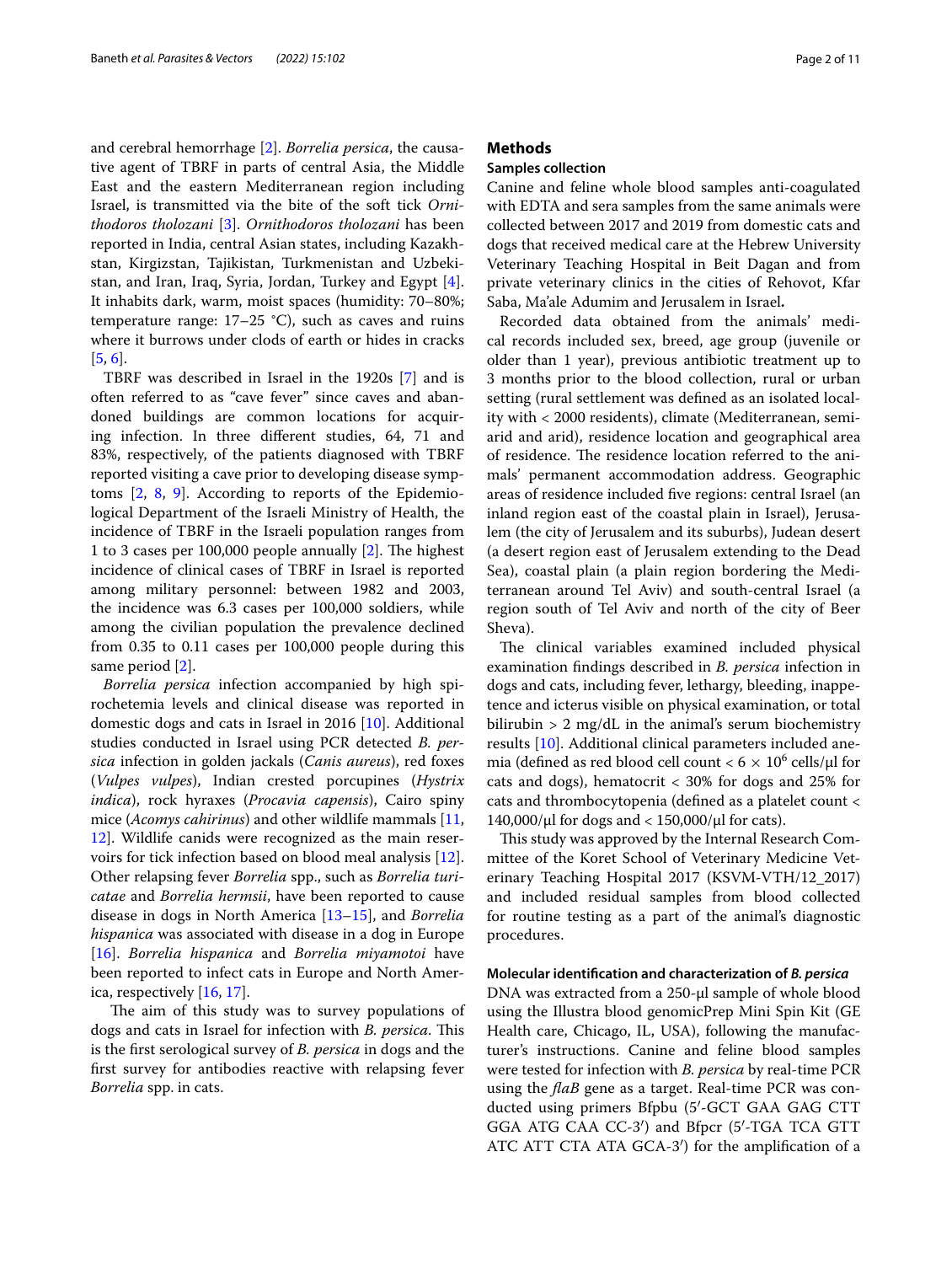and cerebral hemorrhage [[2\]](#page-9-1). *Borrelia persica*, the causative agent of TBRF in parts of central Asia, the Middle East and the eastern Mediterranean region including Israel, is transmitted via the bite of the soft tick *Ornithodoros tholozani* [\[3](#page-9-2)]. *Ornithodoros tholozani* has been reported in India, central Asian states, including Kazakhstan, Kirgizstan, Tajikistan, Turkmenistan and Uzbekistan, and Iran, Iraq, Syria, Jordan, Turkey and Egypt [\[4](#page-9-3)]. It inhabits dark, warm, moist spaces (humidity: 70–80%; temperature range: 17–25 °C), such as caves and ruins where it burrows under clods of earth or hides in cracks [[5,](#page-9-4) [6](#page-9-5)].

TBRF was described in Israel in the 1920s [[7\]](#page-9-6) and is often referred to as "cave fever" since caves and abandoned buildings are common locations for acquiring infection. In three diferent studies, 64, 71 and 83%, respectively, of the patients diagnosed with TBRF reported visiting a cave prior to developing disease symptoms [[2,](#page-9-1) [8,](#page-9-7) [9](#page-9-8)]. According to reports of the Epidemiological Department of the Israeli Ministry of Health, the incidence of TBRF in the Israeli population ranges from 1 to 3 cases per 100,000 people annually  $[2]$  $[2]$ . The highest incidence of clinical cases of TBRF in Israel is reported among military personnel: between 1982 and 2003, the incidence was 6.3 cases per 100,000 soldiers, while among the civilian population the prevalence declined from 0.35 to 0.11 cases per 100,000 people during this same period [\[2](#page-9-1)].

*Borrelia persica* infection accompanied by high spirochetemia levels and clinical disease was reported in domestic dogs and cats in Israel in 2016 [[10\]](#page-9-9). Additional studies conducted in Israel using PCR detected *B. persica* infection in golden jackals (*Canis aureus*), red foxes (*Vulpes vulpes*), Indian crested porcupines (*Hystrix indica*), rock hyraxes (*Procavia capensis*), Cairo spiny mice (*Acomys cahirinus*) and other wildlife mammals [\[11](#page-9-10), [12\]](#page-9-11). Wildlife canids were recognized as the main reservoirs for tick infection based on blood meal analysis [\[12](#page-9-11)]. Other relapsing fever *Borrelia* spp., such as *Borrelia turicatae* and *Borrelia hermsii*, have been reported to cause disease in dogs in North America [\[13](#page-9-12)[–15](#page-9-13)], and *Borrelia hispanica* was associated with disease in a dog in Europe [[16\]](#page-10-0). *Borrelia hispanica* and *Borrelia miyamotoi* have been reported to infect cats in Europe and North America, respectively [[16,](#page-10-0) [17](#page-10-1)].

The aim of this study was to survey populations of dogs and cats in Israel for infection with *B. persica*. This is the frst serological survey of *B. persica* in dogs and the frst survey for antibodies reactive with relapsing fever *Borrelia* spp. in cats.

## **Methods**

## **Samples collection**

Canine and feline whole blood samples anti-coagulated with EDTA and sera samples from the same animals were collected between 2017 and 2019 from domestic cats and dogs that received medical care at the Hebrew University Veterinary Teaching Hospital in Beit Dagan and from private veterinary clinics in the cities of Rehovot, Kfar Saba, Ma'ale Adumim and Jerusalem in Israel**.**

Recorded data obtained from the animals' medical records included sex, breed, age group (juvenile or older than 1 year), previous antibiotic treatment up to 3 months prior to the blood collection, rural or urban setting (rural settlement was defned as an isolated locality with < 2000 residents), climate (Mediterranean, semiarid and arid), residence location and geographical area of residence. The residence location referred to the animals' permanent accommodation address. Geographic areas of residence included fve regions: central Israel (an inland region east of the coastal plain in Israel), Jerusalem (the city of Jerusalem and its suburbs), Judean desert (a desert region east of Jerusalem extending to the Dead Sea), coastal plain (a plain region bordering the Mediterranean around Tel Aviv) and south-central Israel (a region south of Tel Aviv and north of the city of Beer Sheva).

The clinical variables examined included physical examination fndings described in *B. persica* infection in dogs and cats, including fever, lethargy, bleeding, inappetence and icterus visible on physical examination, or total bilirubin  $> 2$  mg/dL in the animal's serum biochemistry results [[10\]](#page-9-9). Additional clinical parameters included anemia (defined as red blood cell count  $< 6 \times 10^6$  cells/ $\mu$ l for cats and dogs), hematocrit < 30% for dogs and 25% for cats and thrombocytopenia (defned as a platelet count < 140,000/μl for dogs and  $<$  150,000/μl for cats).

This study was approved by the Internal Research Committee of the Koret School of Veterinary Medicine Veterinary Teaching Hospital 2017 (KSVM-VTH/12\_2017) and included residual samples from blood collected for routine testing as a part of the animal's diagnostic procedures.

## **Molecular identifcation and characterization of** *B. persica*

DNA was extracted from a 250-μl sample of whole blood using the Illustra blood genomicPrep Mini Spin Kit (GE Health care, Chicago, IL, USA), following the manufacturer's instructions. Canine and feline blood samples were tested for infection with *B. persica* by real-time PCR using the *faB* gene as a target. Real-time PCR was conducted using primers Bfpbu (5′-GCT GAA GAG CTT GGA ATG CAA CC-3′) and Bfpcr (5′-TGA TCA GTT ATC ATT CTA ATA GCA-3′) for the amplifcation of a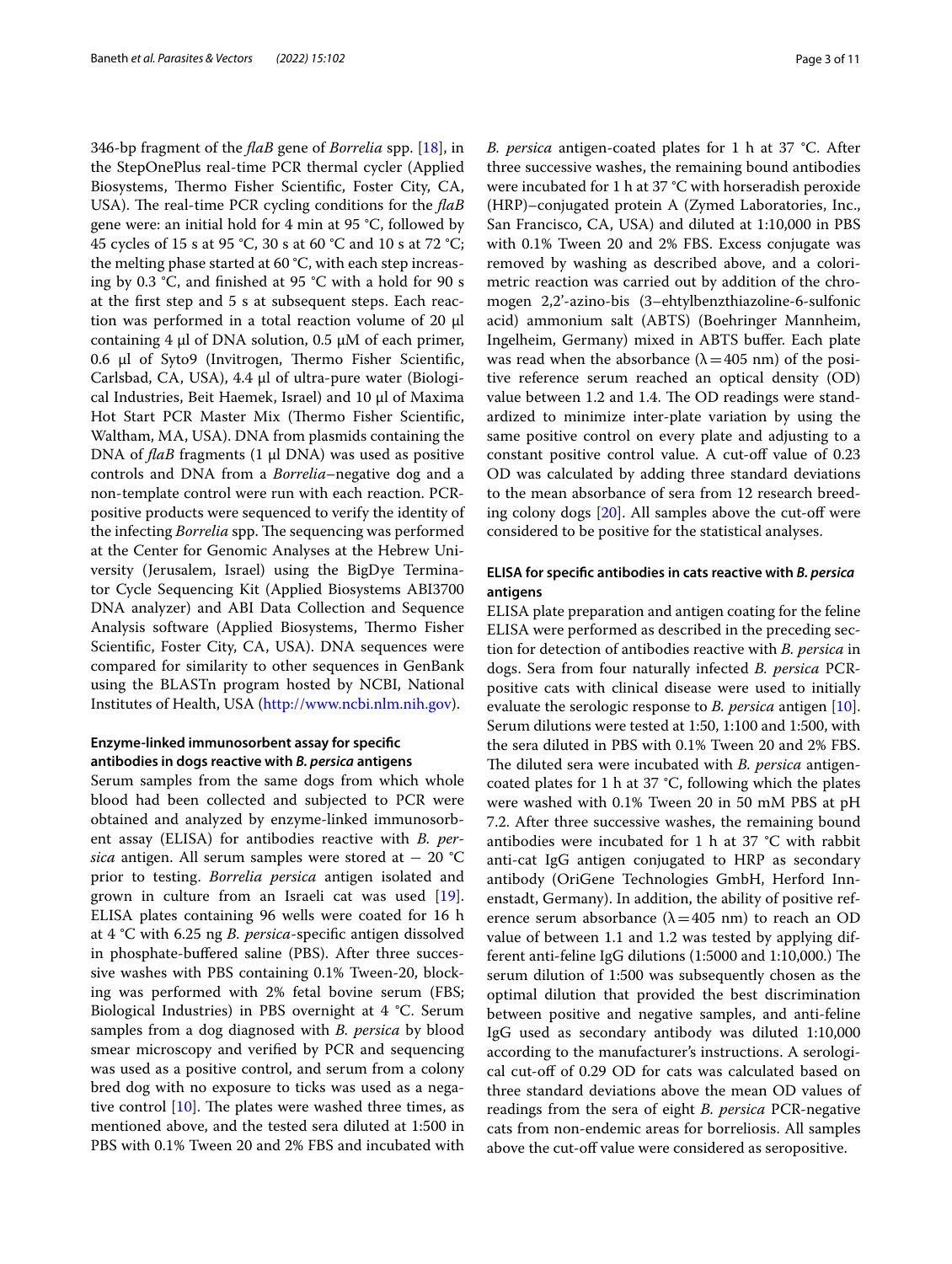346-bp fragment of the *faB* gene of *Borrelia* spp. [[18](#page-10-2)], in the StepOnePlus real-time PCR thermal cycler (Applied Biosystems, Thermo Fisher Scientific, Foster City, CA, USA). The real-time PCR cycling conditions for the *flaB* gene were: an initial hold for 4 min at 95 °C, followed by 45 cycles of 15 s at 95 °C, 30 s at 60 °C and 10 s at 72 °C; the melting phase started at 60 °C, with each step increasing by 0.3 °C, and fnished at 95 °C with a hold for 90 s at the frst step and 5 s at subsequent steps. Each reaction was performed in a total reaction volume of 20 μl containing 4 μl of DNA solution, 0.5 μM of each primer,  $0.6$  μl of Syto9 (Invitrogen, Thermo Fisher Scientific, Carlsbad, CA, USA), 4.4 μl of ultra-pure water (Biological Industries, Beit Haemek, Israel) and 10 μl of Maxima Hot Start PCR Master Mix (Thermo Fisher Scientific, Waltham, MA, USA). DNA from plasmids containing the DNA of *faB* fragments (1 μl DNA) was used as positive controls and DNA from a *Borrelia*–negative dog and a non-template control were run with each reaction. PCRpositive products were sequenced to verify the identity of the infecting *Borrelia* spp. The sequencing was performed at the Center for Genomic Analyses at the Hebrew University (Jerusalem, Israel) using the BigDye Terminator Cycle Sequencing Kit (Applied Biosystems ABI3700 DNA analyzer) and ABI Data Collection and Sequence Analysis software (Applied Biosystems, Thermo Fisher Scientifc, Foster City, CA, USA). DNA sequences were compared for similarity to other sequences in GenBank using the BLASTn program hosted by NCBI, National Institutes of Health, USA ([http://www.ncbi.nlm.nih.gov\)](http://www.ncbi.nlm.nih.gov).

## **Enzyme‑linked immunosorbent assay for specifc antibodies in dogs reactive with** *B. persica* **antigens**

Serum samples from the same dogs from which whole blood had been collected and subjected to PCR were obtained and analyzed by enzyme-linked immunosorbent assay (ELISA) for antibodies reactive with *B. persica* antigen. All serum samples were stored at − 20 °C prior to testing. *Borrelia persica* antigen isolated and grown in culture from an Israeli cat was used [\[19](#page-10-3)]. ELISA plates containing 96 wells were coated for 16 h at 4 °C with 6.25 ng *B. persica*-specifc antigen dissolved in phosphate-buffered saline (PBS). After three successive washes with PBS containing 0.1% Tween-20, blocking was performed with 2% fetal bovine serum (FBS; Biological Industries) in PBS overnight at 4 °C. Serum samples from a dog diagnosed with *B. persica* by blood smear microscopy and verifed by PCR and sequencing was used as a positive control, and serum from a colony bred dog with no exposure to ticks was used as a negative control  $[10]$  $[10]$ . The plates were washed three times, as mentioned above, and the tested sera diluted at 1:500 in PBS with 0.1% Tween 20 and 2% FBS and incubated with *B. persica* antigen-coated plates for 1 h at 37 °C. After three successive washes, the remaining bound antibodies were incubated for 1 h at 37 °C with horseradish peroxide (HRP)–conjugated protein A (Zymed Laboratories, Inc., San Francisco, CA, USA) and diluted at 1:10,000 in PBS with 0.1% Tween 20 and 2% FBS. Excess conjugate was removed by washing as described above, and a colorimetric reaction was carried out by addition of the chromogen 2,2'-azino-bis (3–ehtylbenzthiazoline-6-sulfonic acid) ammonium salt (ABTS) (Boehringer Mannheim, Ingelheim, Germany) mixed in ABTS buffer. Each plate was read when the absorbance ( $\lambda$  = 405 nm) of the positive reference serum reached an optical density (OD) value between 1.2 and 1.4. The OD readings were standardized to minimize inter-plate variation by using the same positive control on every plate and adjusting to a constant positive control value. A cut-off value of 0.23 OD was calculated by adding three standard deviations to the mean absorbance of sera from 12 research breeding colony dogs  $[20]$  $[20]$ . All samples above the cut-off were considered to be positive for the statistical analyses.

## **ELISA for specifc antibodies in cats reactive with** *B. persica* **antigens**

ELISA plate preparation and antigen coating for the feline ELISA were performed as described in the preceding section for detection of antibodies reactive with *B. persica* in dogs. Sera from four naturally infected *B. persica* PCRpositive cats with clinical disease were used to initially evaluate the serologic response to *B. persica* antigen [\[10](#page-9-9)]. Serum dilutions were tested at 1:50, 1:100 and 1:500, with the sera diluted in PBS with 0.1% Tween 20 and 2% FBS. The diluted sera were incubated with *B. persica* antigencoated plates for 1 h at 37 °C, following which the plates were washed with 0.1% Tween 20 in 50 mM PBS at pH 7.2. After three successive washes, the remaining bound antibodies were incubated for 1 h at 37 °C with rabbit anti-cat IgG antigen conjugated to HRP as secondary antibody (OriGene Technologies GmbH, Herford Innenstadt, Germany). In addition, the ability of positive reference serum absorbance ( $\lambda$ =405 nm) to reach an OD value of between 1.1 and 1.2 was tested by applying different anti-feline IgG dilutions (1:5000 and 1:10,000.) The serum dilution of 1:500 was subsequently chosen as the optimal dilution that provided the best discrimination between positive and negative samples, and anti-feline IgG used as secondary antibody was diluted 1:10,000 according to the manufacturer's instructions. A serological cut-of of 0.29 OD for cats was calculated based on three standard deviations above the mean OD values of readings from the sera of eight *B. persica* PCR-negative cats from non-endemic areas for borreliosis. All samples above the cut-off value were considered as seropositive.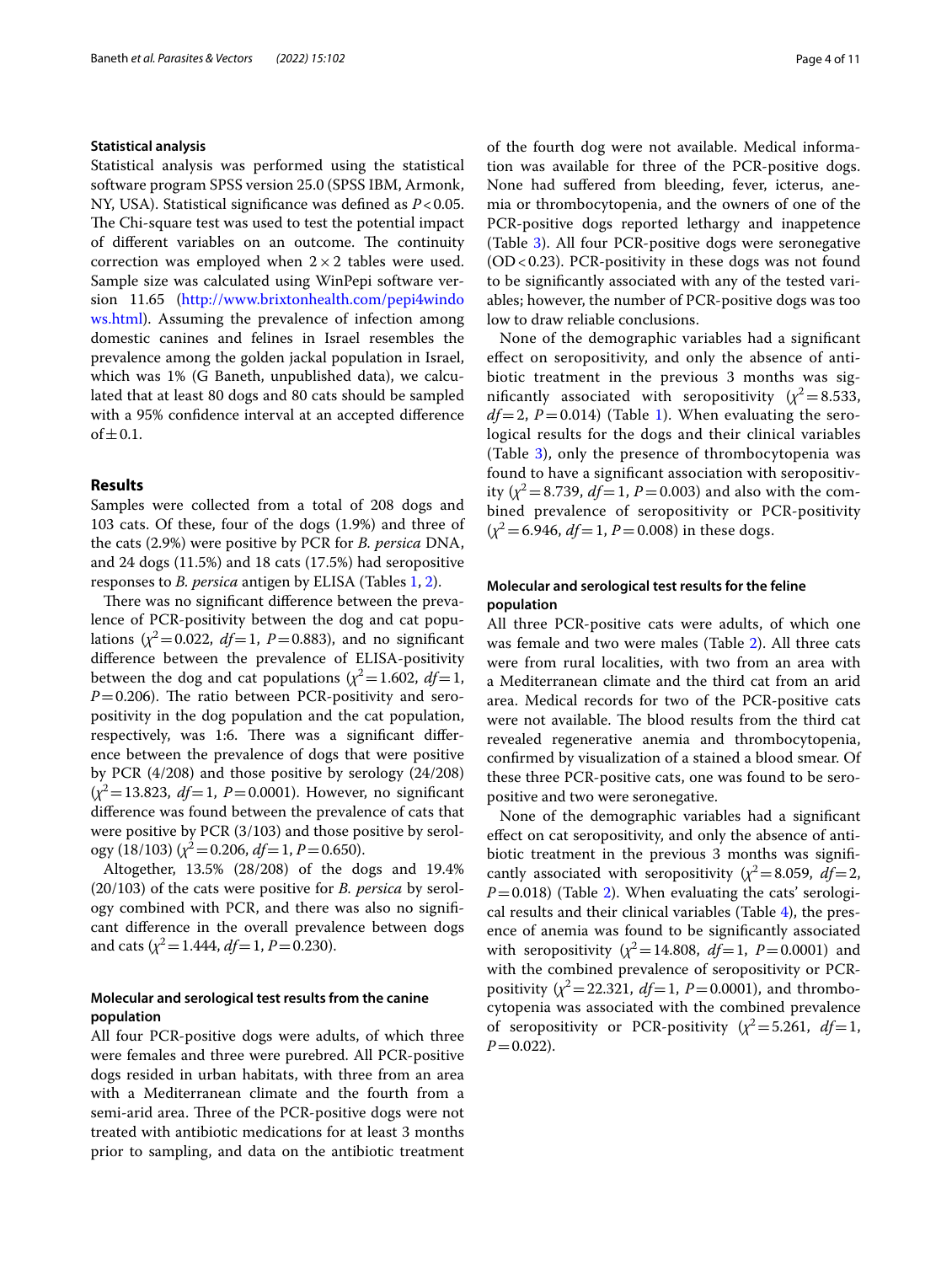#### **Statistical analysis**

Statistical analysis was performed using the statistical software program SPSS version 25.0 (SPSS IBM, Armonk, NY, USA). Statistical significance was defined as  $P < 0.05$ . The Chi-square test was used to test the potential impact of different variables on an outcome. The continuity correction was employed when  $2 \times 2$  tables were used. Sample size was calculated using WinPepi software version 11.65 ([http://www.brixtonhealth.com/pepi4windo](http://www.brixtonhealth.com/pepi4windows.html) [ws.html](http://www.brixtonhealth.com/pepi4windows.html)). Assuming the prevalence of infection among domestic canines and felines in Israel resembles the prevalence among the golden jackal population in Israel, which was 1% (G Baneth, unpublished data), we calculated that at least 80 dogs and 80 cats should be sampled with a 95% confdence interval at an accepted diference of  $\pm$  0.1.

## **Results**

Samples were collected from a total of 208 dogs and 103 cats. Of these, four of the dogs (1.9%) and three of the cats (2.9%) were positive by PCR for *B. persica* DNA, and 24 dogs (11.5%) and 18 cats (17.5%) had seropositive responses to *B. persica* antigen by ELISA (Tables [1,](#page-4-0) [2\)](#page-5-0).

There was no significant difference between the prevalence of PCR-positivity between the dog and cat populations  $(\chi^2=0.022, df=1, P=0.883)$ , and no significant diference between the prevalence of ELISA-positivity between the dog and cat populations ( $\chi^2$  = 1.602, *df* = 1,  $P=0.206$ ). The ratio between PCR-positivity and seropositivity in the dog population and the cat population, respectively, was 1:6. There was a significant difference between the prevalence of dogs that were positive by PCR (4/208) and those positive by serology (24/208) (*χ*<sup>2</sup>=13.823, *df*=1, *P*=0.0001). However, no signifcant diference was found between the prevalence of cats that were positive by PCR (3/103) and those positive by serology (18/103) ( $\chi^2$  = 0.206, *df* = 1, *P* = 0.650).

Altogether, 13.5% (28/208) of the dogs and 19.4% (20/103) of the cats were positive for *B. persica* by serology combined with PCR, and there was also no signifcant diference in the overall prevalence between dogs and cats  $(\chi^2 = 1.444, df = 1, P = 0.230)$ .

## **Molecular and serological test results from the canine population**

All four PCR-positive dogs were adults, of which three were females and three were purebred. All PCR-positive dogs resided in urban habitats, with three from an area with a Mediterranean climate and the fourth from a semi-arid area. Three of the PCR-positive dogs were not treated with antibiotic medications for at least 3 months prior to sampling, and data on the antibiotic treatment of the fourth dog were not available. Medical information was available for three of the PCR-positive dogs. None had sufered from bleeding, fever, icterus, anemia or thrombocytopenia, and the owners of one of the PCR-positive dogs reported lethargy and inappetence (Table [3\)](#page-6-0). All four PCR-positive dogs were seronegative  $(OD < 0.23)$ . PCR-positivity in these dogs was not found to be signifcantly associated with any of the tested variables; however, the number of PCR-positive dogs was too low to draw reliable conclusions.

None of the demographic variables had a signifcant efect on seropositivity, and only the absence of antibiotic treatment in the previous 3 months was significantly associated with seropositivity  $(\chi^2=8.533,$  $df=2$ ,  $P=0.014$ ) (Table [1\)](#page-4-0). When evaluating the serological results for the dogs and their clinical variables (Table [3\)](#page-6-0), only the presence of thrombocytopenia was found to have a signifcant association with seropositivity ( $\chi^2$  = 8.739, *df* = 1, *P* = 0.003) and also with the combined prevalence of seropositivity or PCR-positivity  $(x^2=6.946, df=1, P=0.008)$  in these dogs.

## **Molecular and serological test results for the feline population**

All three PCR-positive cats were adults, of which one was female and two were males (Table [2\)](#page-5-0). All three cats were from rural localities, with two from an area with a Mediterranean climate and the third cat from an arid area. Medical records for two of the PCR-positive cats were not available. The blood results from the third cat revealed regenerative anemia and thrombocytopenia, confrmed by visualization of a stained a blood smear. Of these three PCR-positive cats, one was found to be seropositive and two were seronegative.

None of the demographic variables had a signifcant efect on cat seropositivity, and only the absence of antibiotic treatment in the previous 3 months was signifcantly associated with seropositivity  $(x^2=8.059, df=2,$  $P=0.018$ ) (Table [2](#page-5-0)). When evaluating the cats' serological results and their clinical variables (Table [4](#page-7-0)), the presence of anemia was found to be signifcantly associated with seropositivity  $(\chi^2 = 14.808, df = 1, P = 0.0001)$  and with the combined prevalence of seropositivity or PCRpositivity  $(\chi^2 = 22.321, df = 1, P = 0.0001)$ , and thrombocytopenia was associated with the combined prevalence of seropositivity or PCR-positivity  $(x^2 = 5.261, df = 1$ ,  $P=0.022$ ).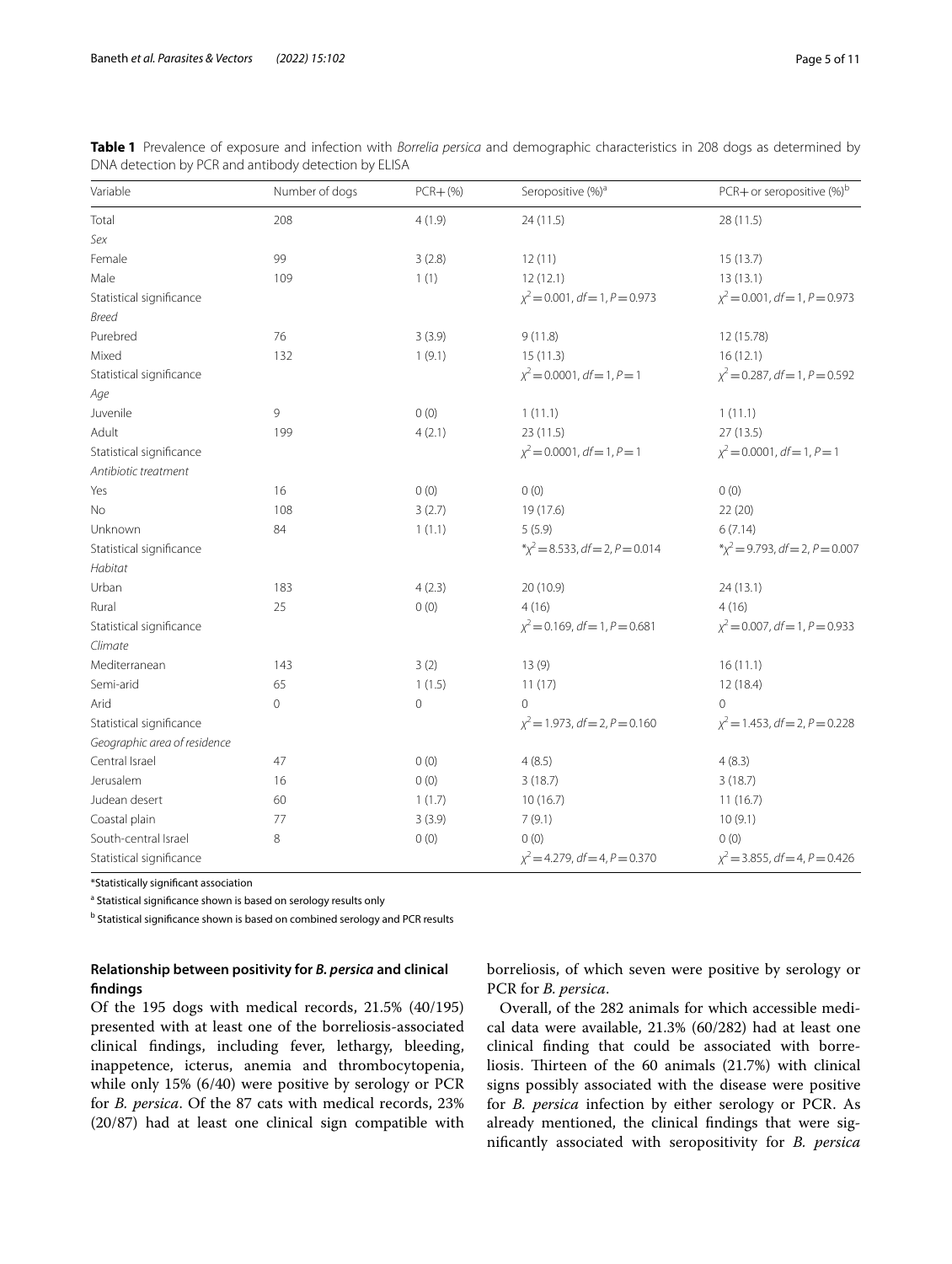| Variable                     | Number of dogs | $PCR + (\%)$ | Seropositive (%) <sup>a</sup>       | PCR+ or seropositive $(\%)^b$              |
|------------------------------|----------------|--------------|-------------------------------------|--------------------------------------------|
| Total                        | 208            | 4(1.9)       | 24(11.5)                            | 28 (11.5)                                  |
| Sex                          |                |              |                                     |                                            |
| Female                       | 99             | 3(2.8)       | 12(11)                              | 15(13.7)                                   |
| Male                         | 109            | 1(1)         | 12(12.1)                            | 13(13.1)                                   |
| Statistical significance     |                |              | $\chi^2$ = 0.001, df = 1, P = 0.973 | $\chi^2$ = 0.001, df = 1, P = 0.973        |
| <b>Breed</b>                 |                |              |                                     |                                            |
| Purebred                     | 76             | 3(3.9)       | 9(11.8)                             | 12 (15.78)                                 |
| Mixed                        | 132            | 1(9.1)       | 15(11.3)                            | 16(12.1)                                   |
| Statistical significance     |                |              | $\chi^2$ = 0.0001, df = 1, P = 1    | $\chi^2$ = 0.287, df = 1, P = 0.592        |
| Age                          |                |              |                                     |                                            |
| Juvenile                     | 9              | 0(0)         | 1(11.1)                             | 1(11.1)                                    |
| Adult                        | 199            | 4(2.1)       | 23 (11.5)                           | 27(13.5)                                   |
| Statistical significance     |                |              | $\chi^2$ = 0.0001, df = 1, P = 1    | $\chi^2$ = 0.0001, df = 1, P = 1           |
| Antibiotic treatment         |                |              |                                     |                                            |
| Yes                          | 16             | 0(0)         | 0(0)                                | 0(0)                                       |
| No                           | 108            | 3(2.7)       | 19 (17.6)                           | 22(20)                                     |
| Unknown                      | 84             | 1(1.1)       | 5(5.9)                              | 6(7.14)                                    |
| Statistical significance     |                |              | $x^2 = 8.533$ , df = 2, P = 0.014   | $\sqrt[4]{x^2}$ = 9.793, df = 2, P = 0.007 |
| Habitat                      |                |              |                                     |                                            |
| Urban                        | 183            | 4(2.3)       | 20 (10.9)                           | 24 (13.1)                                  |
| Rural                        | 25             | 0(0)         | 4(16)                               | 4(16)                                      |
| Statistical significance     |                |              | $\chi^2$ = 0.169, df = 1, P = 0.681 | $\chi^2$ = 0.007, df = 1, P = 0.933        |
| Climate                      |                |              |                                     |                                            |
| Mediterranean                | 143            | 3(2)         | 13(9)                               | 16(11.1)                                   |
| Semi-arid                    | 65             | 1(1.5)       | 11(17)                              | 12 (18.4)                                  |
| Arid                         | 0              | 0            | $\overline{O}$                      | $\Omega$                                   |
| Statistical significance     |                |              | $\chi^2$ = 1.973, df = 2, P = 0.160 | $\chi^2$ = 1.453, df = 2, P = 0.228        |
| Geographic area of residence |                |              |                                     |                                            |
| Central Israel               | 47             | 0(0)         | 4(8.5)                              | 4(8.3)                                     |
| Jerusalem                    | 16             | 0(0)         | 3(18.7)                             | 3(18.7)                                    |
| Judean desert                | 60             | 1(1.7)       | 10(16.7)                            | 11(16.7)                                   |
| Coastal plain                | 77             | 3(3.9)       | 7(9.1)                              | 10(9.1)                                    |
| South-central Israel         | 8              | 0(0)         | 0(0)                                | 0(0)                                       |
| Statistical significance     |                |              | $\chi^2$ = 4.279, df = 4, P = 0.370 | $\chi^2$ = 3.855, df = 4, P = 0.426        |

<span id="page-4-0"></span>

| Table 1 Prevalence of exposure and infection with Borrelia persica and demographic characteristics in 208 dogs as determined by |  |  |  |  |
|---------------------------------------------------------------------------------------------------------------------------------|--|--|--|--|
| DNA detection by PCR and antibody detection by ELISA                                                                            |  |  |  |  |

\*Statistically signifcant association

<sup>a</sup> Statistical significance shown is based on serology results only

<sup>b</sup> Statistical significance shown is based on combined serology and PCR results

## **Relationship between positivity for** *B. persica* **and clinical fndings**

Of the 195 dogs with medical records, 21.5% (40/195) presented with at least one of the borreliosis-associated clinical fndings, including fever, lethargy, bleeding, inappetence, icterus, anemia and thrombocytopenia, while only 15% (6/40) were positive by serology or PCR for *B. persica*. Of the 87 cats with medical records, 23% (20/87) had at least one clinical sign compatible with borreliosis, of which seven were positive by serology or PCR for *B. persica*.

Overall, of the 282 animals for which accessible medical data were available, 21.3% (60/282) had at least one clinical fnding that could be associated with borreliosis. Thirteen of the  $60$  animals  $(21.7%)$  with clinical signs possibly associated with the disease were positive for *B. persica* infection by either serology or PCR. As already mentioned, the clinical fndings that were signifcantly associated with seropositivity for *B. persica*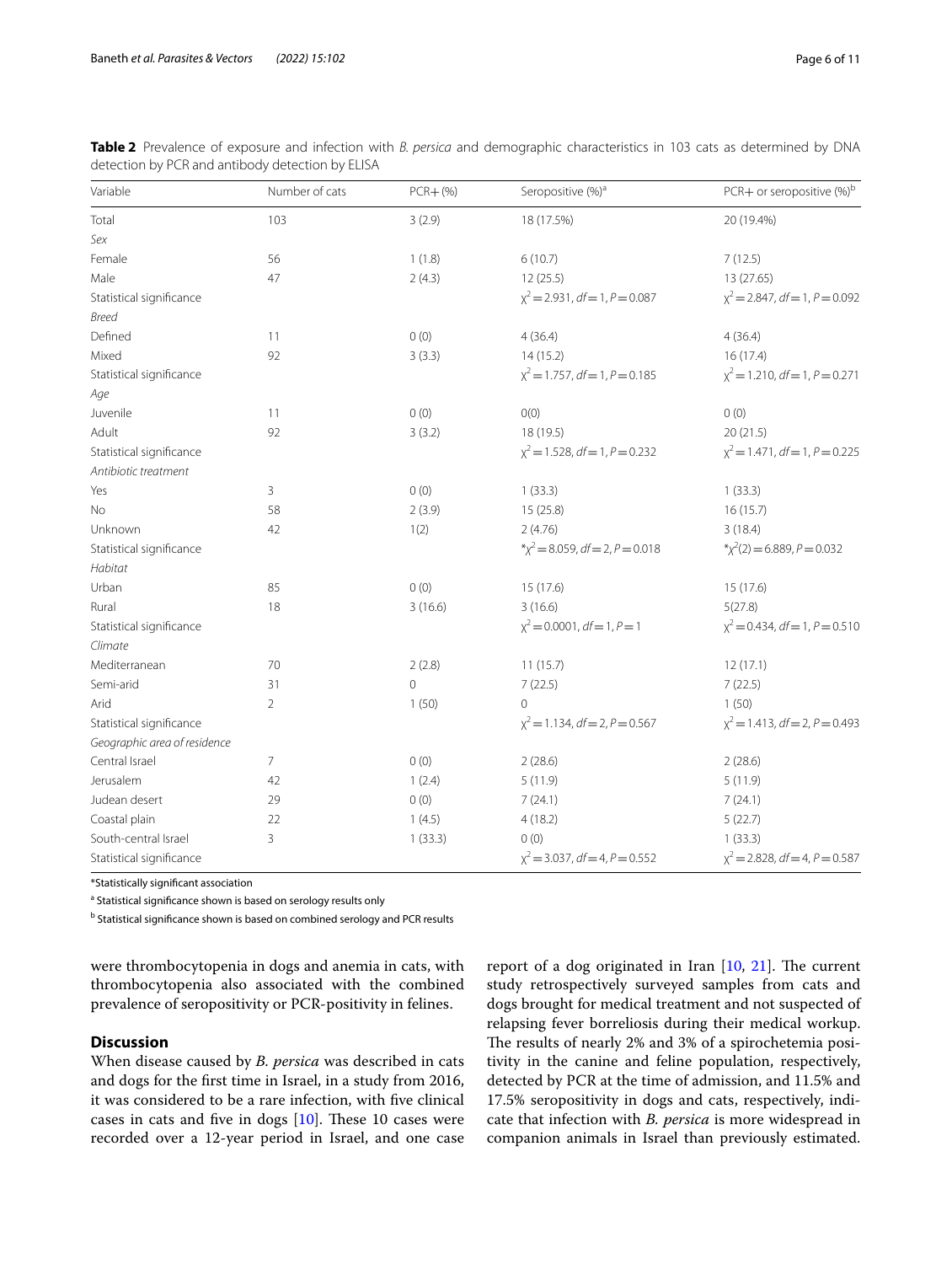| Variable                     | Number of cats | $PCR + (%)$    | Seropositive (%) <sup>a</sup>              | PCR+ or seropositive $(\%)^b$         |
|------------------------------|----------------|----------------|--------------------------------------------|---------------------------------------|
| Total                        | 103            | 3(2.9)         | 18 (17.5%)                                 | 20 (19.4%)                            |
| Sex                          |                |                |                                            |                                       |
| Female                       | 56             | 1(1.8)         | 6(10.7)                                    | 7(12.5)                               |
| Male                         | 47             | 2(4.3)         | 12(25.5)                                   | 13 (27.65)                            |
| Statistical significance     |                |                | $x^2 = 2.931$ , df = 1, P = 0.087          | $x^2$ = 2.847, df = 1, P = 0.092      |
| <b>Breed</b>                 |                |                |                                            |                                       |
| Defined                      | 11             | 0(0)           | 4(36.4)                                    | 4(36.4)                               |
| Mixed                        | 92             | 3(3.3)         | 14(15.2)                                   | 16(17.4)                              |
| Statistical significance     |                |                | $\chi^2$ = 1.757, df = 1, P = 0.185        | $\chi^2$ = 1.210, df = 1, P = 0.271   |
| Age                          |                |                |                                            |                                       |
| Juvenile                     | 11             | 0(0)           | O(0)                                       | 0(0)                                  |
| Adult                        | 92             | 3(3.2)         | 18 (19.5)                                  | 20(21.5)                              |
| Statistical significance     |                |                | $x^2 = 1.528$ , df = 1, P = 0.232          | $x^2 = 1.471$ , df = 1, P = 0.225     |
| Antibiotic treatment         |                |                |                                            |                                       |
| Yes                          | 3              | 0(0)           | 1(33.3)                                    | 1(33.3)                               |
| No                           | 58             | 2(3.9)         | 15(25.8)                                   | 16(15.7)                              |
| Unknown                      | 42             | 1(2)           | 2(4.76)                                    | 3(18.4)                               |
| Statistical significance     |                |                | $\sqrt[4]{x^2}$ = 8.059, df = 2, P = 0.018 | $\sqrt[4]{x^2(2)} = 6.889, P = 0.032$ |
| Habitat                      |                |                |                                            |                                       |
| Urban                        | 85             | 0(0)           | 15 (17.6)                                  | 15 (17.6)                             |
| Rural                        | 18             | 3(16.6)        | 3(16.6)                                    | 5(27.8)                               |
| Statistical significance     |                |                | $x^2$ = 0.0001, df = 1, P = 1              | $x^2 = 0.434$ , df = 1, P = 0.510     |
| Climate                      |                |                |                                            |                                       |
| Mediterranean                | 70             | 2(2.8)         | 11(15.7)                                   | 12(17.1)                              |
| Semi-arid                    | 31             | $\overline{0}$ | 7(22.5)                                    | 7(22.5)                               |
| Arid                         | $\overline{2}$ | 1(50)          | $\Omega$                                   | 1(50)                                 |
| Statistical significance     |                |                | $x^2 = 1.134$ , df = 2, P = 0.567          | $x^2 = 1.413$ , df = 2, P = 0.493     |
| Geographic area of residence |                |                |                                            |                                       |
| Central Israel               | $\overline{7}$ | 0(0)           | 2(28.6)                                    | 2(28.6)                               |
| Jerusalem                    | 42             | 1(2.4)         | 5(11.9)                                    | 5(11.9)                               |
| Judean desert                | 29             | 0(0)           | 7(24.1)                                    | 7(24.1)                               |
| Coastal plain                | 22             | 1(4.5)         | 4(18.2)                                    | 5(22.7)                               |
| South-central Israel         | 3              | 1(33.3)        | 0(0)                                       | 1(33.3)                               |
| Statistical significance     |                |                | $x^2$ = 3.037, df = 4, P = 0.552           | $\chi^2$ = 2.828, df = 4, P = 0.587   |

<span id="page-5-0"></span>**Table 2** Prevalence of exposure and infection with *B. persica* and demographic characteristics in 103 cats as determined by DNA detection by PCR and antibody detection by ELISA

\*Statistically signifcant association

<sup>a</sup> Statistical significance shown is based on serology results only

<sup>b</sup> Statistical significance shown is based on combined serology and PCR results

were thrombocytopenia in dogs and anemia in cats, with thrombocytopenia also associated with the combined prevalence of seropositivity or PCR-positivity in felines.

## **Discussion**

When disease caused by *B. persica* was described in cats and dogs for the frst time in Israel, in a study from 2016, it was considered to be a rare infection, with fve clinical cases in cats and five in dogs  $[10]$  $[10]$ . These 10 cases were recorded over a 12-year period in Israel, and one case report of a dog originated in Iran  $[10, 21]$  $[10, 21]$  $[10, 21]$ . The current study retrospectively surveyed samples from cats and dogs brought for medical treatment and not suspected of relapsing fever borreliosis during their medical workup. The results of nearly 2% and 3% of a spirochetemia positivity in the canine and feline population, respectively, detected by PCR at the time of admission, and 11.5% and 17.5% seropositivity in dogs and cats, respectively, indicate that infection with *B. persica* is more widespread in companion animals in Israel than previously estimated.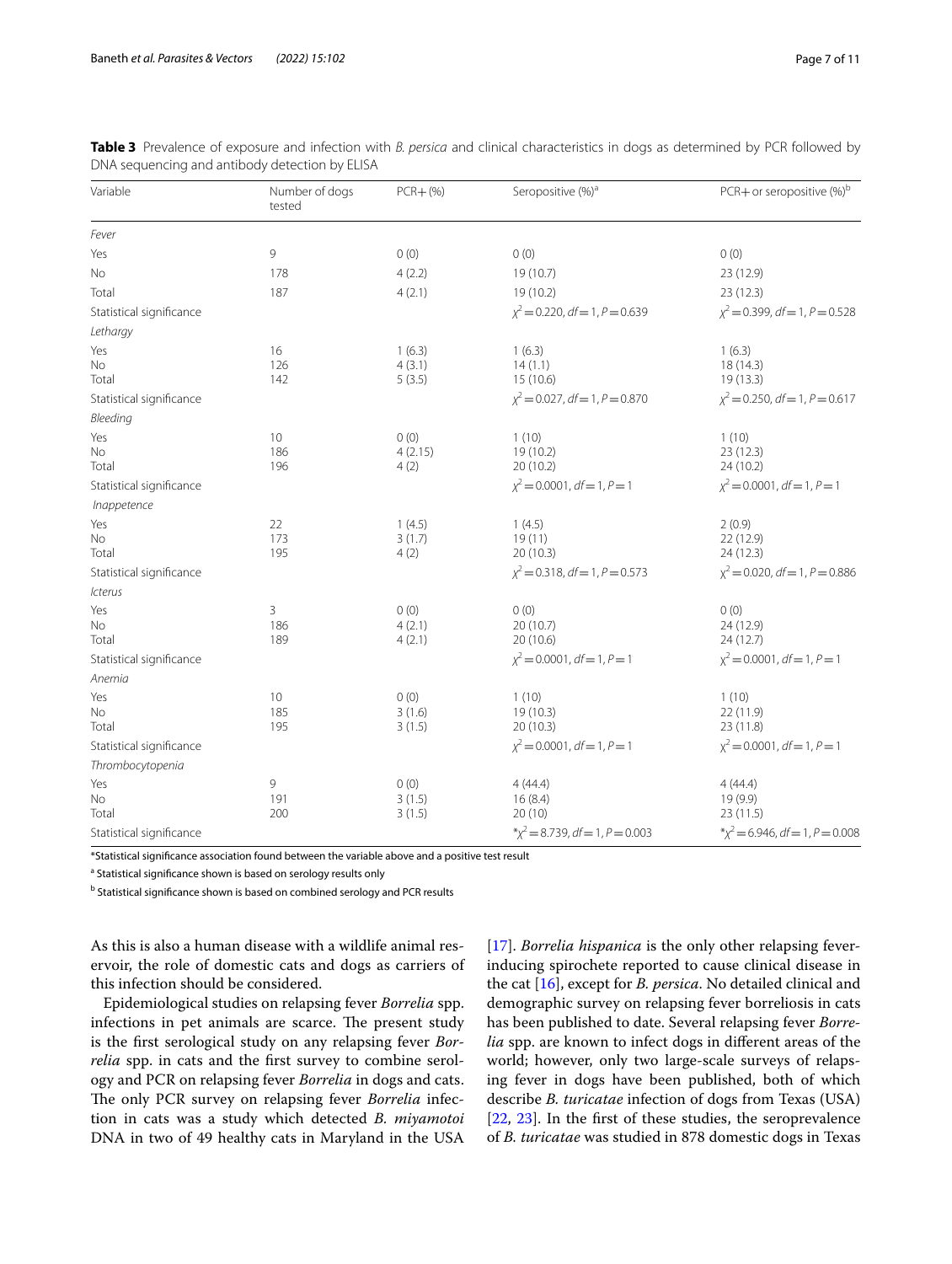| Variable                 | Number of dogs<br>tested | $PCR + (\%)$     | Seropositive (%) <sup>a</sup>       | PCR+ or seropositive (%) <sup>b</sup> |
|--------------------------|--------------------------|------------------|-------------------------------------|---------------------------------------|
| Fever                    |                          |                  |                                     |                                       |
| Yes                      | 9                        | 0(0)             | 0(0)                                | 0(0)                                  |
| Νo                       | 178                      | 4(2.2)           | 19 (10.7)                           | 23 (12.9)                             |
| Total                    | 187                      | 4(2.1)           | 19 (10.2)                           | 23 (12.3)                             |
| Statistical significance |                          |                  | $\chi^2$ = 0.220, df = 1, P = 0.639 | $\chi^2$ = 0.399, df = 1, P = 0.528   |
| Lethargy                 |                          |                  |                                     |                                       |
| Yes                      | 16                       | 1(6.3)           | 1(6.3)                              | 1(6.3)                                |
| No                       | 126                      | 4(3.1)           | 14(1.1)                             | 18 (14.3)                             |
| Total                    | 142                      | 5(3.5)           | 15 (10.6)                           | 19 (13.3)                             |
| Statistical significance |                          |                  | $\chi^2$ = 0.027, df = 1, P = 0.870 | $\chi^2$ = 0.250, df = 1, P = 0.617   |
| Bleeding                 |                          |                  |                                     |                                       |
| Yes<br>No                | 10<br>186                | 0(0)<br>4(2.15)  | 1(10)<br>19 (10.2)                  | 1(10)<br>23(12.3)                     |
| Total                    | 196                      | 4(2)             | 20 (10.2)                           | 24 (10.2)                             |
| Statistical significance |                          |                  | $x^2 = 0.0001$ , df = 1, P = 1      | $\chi^2$ = 0.0001, df = 1, P = 1      |
| Inappetence              |                          |                  |                                     |                                       |
| Yes                      | 22                       | 1(4.5)           | 1(4.5)                              | 2(0.9)                                |
| No                       | 173                      | 3(1.7)           | 19(11)                              | 22 (12.9)                             |
| Total                    | 195                      | 4(2)             | 20 (10.3)                           | 24 (12.3)                             |
| Statistical significance |                          |                  | $\chi^2$ = 0.318, df = 1, P = 0.573 | $\chi^2$ = 0.020, df = 1, P = 0.886   |
| Icterus                  |                          |                  |                                     |                                       |
| Yes                      | 3                        | 0(0)             | 0(0)                                | 0(0)                                  |
| No<br>Total              | 186<br>189               | 4(2.1)<br>4(2.1) | 20 (10.7)<br>20 (10.6)              | 24 (12.9)<br>24 (12.7)                |
| Statistical significance |                          |                  | $\chi^2$ = 0.0001, df = 1, P = 1    | $x^2$ = 0.0001, df = 1, P = 1         |
| Anemia                   |                          |                  |                                     |                                       |
| Yes                      | 10                       | 0(0)             | 1(10)                               | 1(10)                                 |
| No                       | 185                      | 3(1.6)           | 19 (10.3)                           | 22 (11.9)                             |
| Total                    | 195                      | 3(1.5)           | 20(10.3)                            | 23 (11.8)                             |
| Statistical significance |                          |                  | $\chi^2$ = 0.0001, df = 1, P = 1    | $x^2$ = 0.0001, df = 1, P = 1         |
| Thrombocytopenia         |                          |                  |                                     |                                       |
| Yes                      | 9                        | 0(0)             | 4(44.4)                             | 4(44.4)                               |
| No                       | 191                      | 3(1.5)           | 16(8.4)                             | 19 (9.9)                              |
| Total                    | 200                      | 3(1.5)           | 20(10)                              | 23(11.5)                              |
| Statistical significance |                          |                  | $x^2 = 8.739$ , df = 1, P = 0.003   | $\chi^2$ = 6.946, df = 1, P = 0.008   |

<span id="page-6-0"></span>**Table 3** Prevalence of exposure and infection with *B. persica* and clinical characteristics in dogs as determined by PCR followed by DNA sequencing and antibody detection by ELISA

\*Statistical signifcance association found between the variable above and a positive test result

<sup>a</sup> Statistical significance shown is based on serology results only

<sup>b</sup> Statistical significance shown is based on combined serology and PCR results

As this is also a human disease with a wildlife animal reservoir, the role of domestic cats and dogs as carriers of this infection should be considered.

Epidemiological studies on relapsing fever *Borrelia* spp. infections in pet animals are scarce. The present study is the frst serological study on any relapsing fever *Borrelia* spp. in cats and the frst survey to combine serology and PCR on relapsing fever *Borrelia* in dogs and cats. The only PCR survey on relapsing fever *Borrelia* infection in cats was a study which detected *B. miyamotoi* DNA in two of 49 healthy cats in Maryland in the USA [[17\]](#page-10-1). *Borrelia hispanica* is the only other relapsing feverinducing spirochete reported to cause clinical disease in the cat [[16\]](#page-10-0), except for *B. persica*. No detailed clinical and demographic survey on relapsing fever borreliosis in cats has been published to date. Several relapsing fever *Borrelia* spp. are known to infect dogs in diferent areas of the world; however, only two large-scale surveys of relapsing fever in dogs have been published, both of which describe *B. turicatae* infection of dogs from Texas (USA) [[22,](#page-10-6) [23](#page-10-7)]. In the frst of these studies, the seroprevalence of *B. turicatae* was studied in 878 domestic dogs in Texas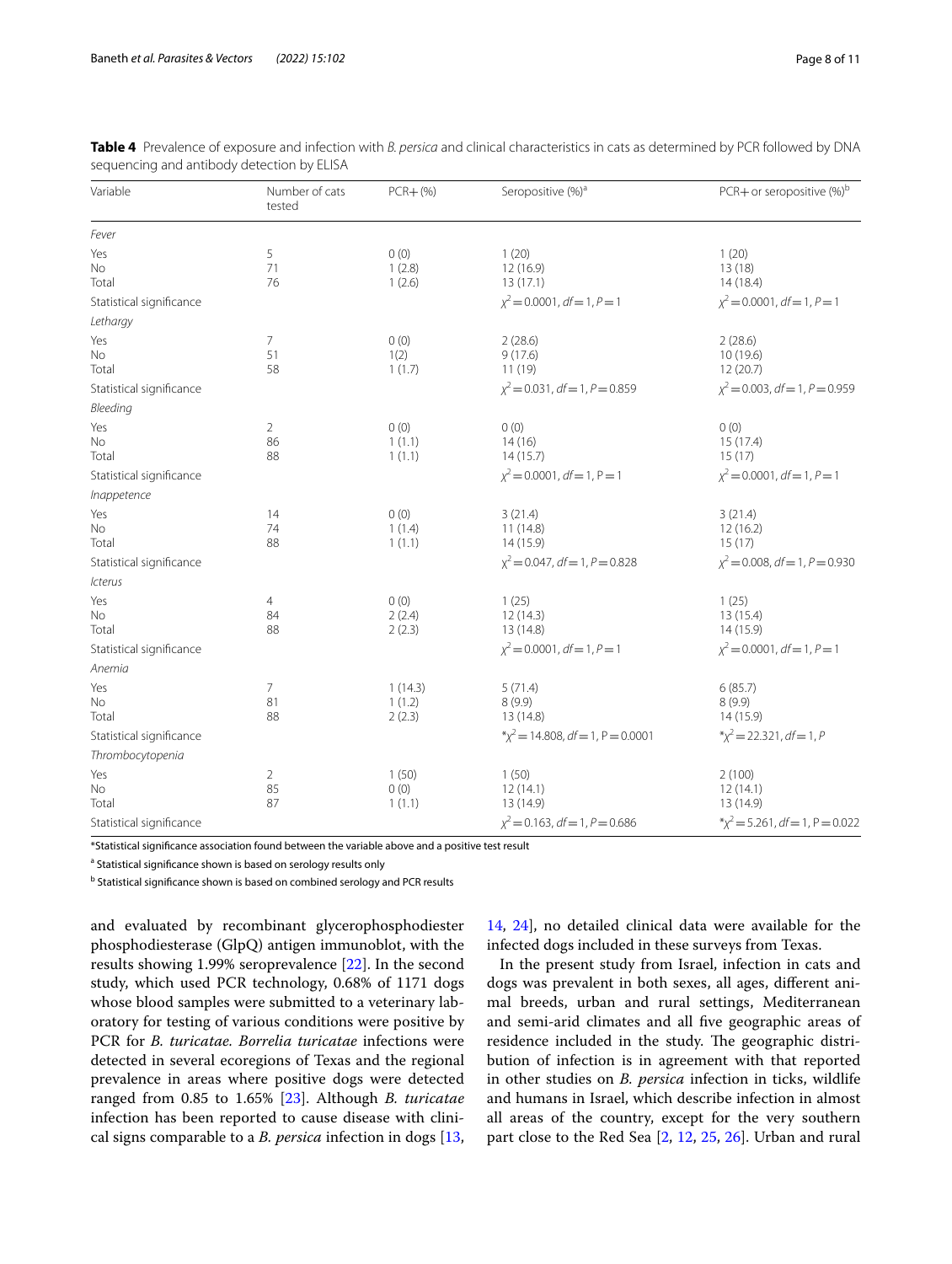| Variable                 | Number of cats<br>tested   | $PCR + (%)$                 | Seropositive (%) <sup>a</sup>       | PCR+ or seropositive $(\%)^b$       |
|--------------------------|----------------------------|-----------------------------|-------------------------------------|-------------------------------------|
| Fever                    |                            |                             |                                     |                                     |
| Yes<br>No<br>Total       | 5<br>71<br>76              | 0(0)<br>1(2.8)<br>1(2.6)    | 1(20)<br>12(16.9)<br>13(17.1)       | 1(20)<br>13(18)<br>14(18.4)         |
| Statistical significance |                            |                             | $\chi^2$ = 0.0001, df = 1, P = 1    | $\chi^2$ = 0.0001, df = 1, P = 1    |
| Lethargy                 |                            |                             |                                     |                                     |
| Yes<br>No<br>Total       | 7<br>51<br>58              | 0(0)<br>1(2)<br>1(1.7)      | 2(28.6)<br>9(17.6)<br>11(19)        | 2(28.6)<br>10(19.6)<br>12(20.7)     |
| Statistical significance |                            |                             | $\chi^2$ = 0.031, df = 1, P = 0.859 | $\chi^2$ = 0.003, df = 1, P = 0.959 |
| Bleeding                 |                            |                             |                                     |                                     |
| Yes<br>No<br>Total       | $\overline{2}$<br>86<br>88 | 0(0)<br>1(1.1)<br>1(1.1)    | 0(0)<br>14(16)<br>14(15.7)          | 0(0)<br>15(17.4)<br>15(17)          |
| Statistical significance |                            |                             | $\chi^2$ = 0.0001, df = 1, P = 1    | $\chi^2$ = 0.0001, df = 1, P = 1    |
| Inappetence              |                            |                             |                                     |                                     |
| Yes<br>No<br>Total       | 14<br>74<br>88             | 0(0)<br>1(1.4)<br>1(1.1)    | 3(21.4)<br>11(14.8)<br>14(15.9)     | 3(21.4)<br>12(16.2)<br>15(17)       |
| Statistical significance |                            |                             | $x^2$ = 0.047, df = 1, P = 0.828    | $\chi^2$ = 0.008, df = 1, P = 0.930 |
| Icterus                  |                            |                             |                                     |                                     |
| Yes<br>No<br>Total       | 4<br>84<br>88              | 0(0)<br>2(2.4)<br>2(2.3)    | 1(25)<br>12(14.3)<br>13 (14.8)      | 1(25)<br>13 (15.4)<br>14(15.9)      |
| Statistical significance |                            |                             | $x^2$ = 0.0001, df = 1, P = 1       | $x^2 = 0.0001$ , df = 1, P = 1      |
| Anemia                   |                            |                             |                                     |                                     |
| Yes<br>No<br>Total       | 7<br>81<br>88              | 1(14.3)<br>1(1.2)<br>2(2.3) | 5(71.4)<br>8(9.9)<br>13 (14.8)      | 6(85.7)<br>8(9.9)<br>14(15.9)       |
| Statistical significance |                            |                             | $x^2 = 14.808$ , df = 1, P = 0.0001 | $x^2 = 22.321$ , df = 1, P          |
| Thrombocytopenia         |                            |                             |                                     |                                     |
| Yes<br>No<br>Total       | $\overline{2}$<br>85<br>87 | 1(50)<br>0(0)<br>1(1.1)     | 1(50)<br>12(14.1)<br>13 (14.9)      | 2(100)<br>12(14.1)<br>13 (14.9)     |
| Statistical significance |                            |                             | $\chi^2$ = 0.163, df = 1, P = 0.686 | $x^2 = 5.261$ , df = 1, P = 0.022   |

<span id="page-7-0"></span>

|  | Table 4 Prevalence of exposure and infection with B. persica and clinical characteristics in cats as determined by PCR followed by DNA |  |  |  |
|--|----------------------------------------------------------------------------------------------------------------------------------------|--|--|--|
|  | sequencing and antibody detection by ELISA                                                                                             |  |  |  |

\*Statistical signifcance association found between the variable above and a positive test result

<sup>a</sup> Statistical significance shown is based on serology results only

<sup>b</sup> Statistical significance shown is based on combined serology and PCR results

and evaluated by recombinant glycerophosphodiester phosphodiesterase (GlpQ) antigen immunoblot, with the results showing 1.99% seroprevalence [[22\]](#page-10-6). In the second study, which used PCR technology, 0.68% of 1171 dogs whose blood samples were submitted to a veterinary laboratory for testing of various conditions were positive by PCR for *B. turicatae. Borrelia turicatae* infections were detected in several ecoregions of Texas and the regional prevalence in areas where positive dogs were detected ranged from 0.85 to 1.65% [\[23](#page-10-7)]. Although *B. turicatae* infection has been reported to cause disease with clinical signs comparable to a *B. persica* infection in dogs [\[13](#page-9-12),

[14,](#page-9-14) [24\]](#page-10-8), no detailed clinical data were available for the infected dogs included in these surveys from Texas.

In the present study from Israel, infection in cats and dogs was prevalent in both sexes, all ages, diferent animal breeds, urban and rural settings, Mediterranean and semi-arid climates and all fve geographic areas of residence included in the study. The geographic distribution of infection is in agreement with that reported in other studies on *B. persica* infection in ticks, wildlife and humans in Israel, which describe infection in almost all areas of the country, except for the very southern part close to the Red Sea [[2,](#page-9-1) [12,](#page-9-11) [25,](#page-10-9) [26\]](#page-10-10). Urban and rural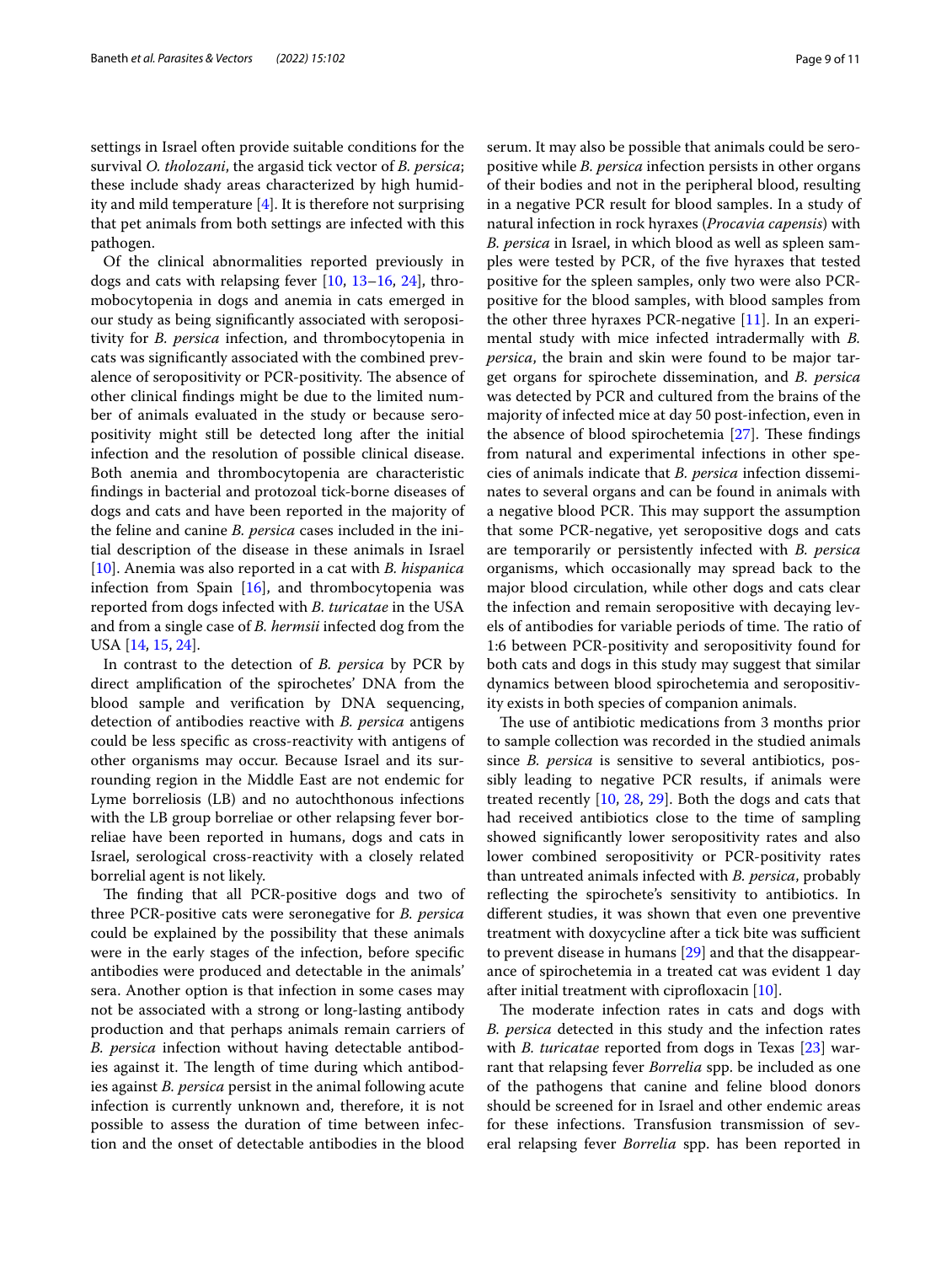settings in Israel often provide suitable conditions for the survival *O. tholozani*, the argasid tick vector of *B. persica*; these include shady areas characterized by high humidity and mild temperature  $[4]$  $[4]$  $[4]$ . It is therefore not surprising that pet animals from both settings are infected with this pathogen.

Of the clinical abnormalities reported previously in dogs and cats with relapsing fever [[10,](#page-9-9) [13–](#page-9-12)[16,](#page-10-0) [24\]](#page-10-8), thromobocytopenia in dogs and anemia in cats emerged in our study as being signifcantly associated with seropositivity for *B. persica* infection, and thrombocytopenia in cats was signifcantly associated with the combined prevalence of seropositivity or PCR-positivity. The absence of other clinical fndings might be due to the limited number of animals evaluated in the study or because seropositivity might still be detected long after the initial infection and the resolution of possible clinical disease. Both anemia and thrombocytopenia are characteristic fndings in bacterial and protozoal tick-borne diseases of dogs and cats and have been reported in the majority of the feline and canine *B. persica* cases included in the initial description of the disease in these animals in Israel [[10\]](#page-9-9). Anemia was also reported in a cat with *B. hispanica* infection from Spain  $[16]$  $[16]$ , and thrombocytopenia was reported from dogs infected with *B. turicatae* in the USA and from a single case of *B. hermsii* infected dog from the USA [\[14](#page-9-14), [15,](#page-9-13) [24\]](#page-10-8).

In contrast to the detection of *B. persica* by PCR by direct amplifcation of the spirochetes' DNA from the blood sample and verifcation by DNA sequencing, detection of antibodies reactive with *B. persica* antigens could be less specifc as cross-reactivity with antigens of other organisms may occur. Because Israel and its surrounding region in the Middle East are not endemic for Lyme borreliosis (LB) and no autochthonous infections with the LB group borreliae or other relapsing fever borreliae have been reported in humans, dogs and cats in Israel, serological cross-reactivity with a closely related borrelial agent is not likely.

The finding that all PCR-positive dogs and two of three PCR-positive cats were seronegative for *B. persica* could be explained by the possibility that these animals were in the early stages of the infection, before specifc antibodies were produced and detectable in the animals' sera. Another option is that infection in some cases may not be associated with a strong or long-lasting antibody production and that perhaps animals remain carriers of *B. persica* infection without having detectable antibodies against it. The length of time during which antibodies against *B. persica* persist in the animal following acute infection is currently unknown and, therefore, it is not possible to assess the duration of time between infection and the onset of detectable antibodies in the blood serum. It may also be possible that animals could be seropositive while *B. persica* infection persists in other organs of their bodies and not in the peripheral blood, resulting in a negative PCR result for blood samples. In a study of natural infection in rock hyraxes (*Procavia capensis*) with *B. persica* in Israel, in which blood as well as spleen samples were tested by PCR, of the fve hyraxes that tested positive for the spleen samples, only two were also PCRpositive for the blood samples, with blood samples from the other three hyraxes PCR-negative [[11](#page-9-10)]. In an experimental study with mice infected intradermally with *B. persica*, the brain and skin were found to be major target organs for spirochete dissemination, and *B. persica* was detected by PCR and cultured from the brains of the majority of infected mice at day 50 post-infection, even in the absence of blood spirochetemia  $[27]$  $[27]$ . These findings from natural and experimental infections in other species of animals indicate that *B. persica* infection disseminates to several organs and can be found in animals with a negative blood PCR. This may support the assumption that some PCR-negative, yet seropositive dogs and cats are temporarily or persistently infected with *B. persica* organisms, which occasionally may spread back to the major blood circulation, while other dogs and cats clear the infection and remain seropositive with decaying levels of antibodies for variable periods of time. The ratio of 1:6 between PCR-positivity and seropositivity found for both cats and dogs in this study may suggest that similar dynamics between blood spirochetemia and seropositivity exists in both species of companion animals.

The use of antibiotic medications from 3 months prior to sample collection was recorded in the studied animals since *B. persica* is sensitive to several antibiotics, possibly leading to negative PCR results, if animals were treated recently [[10](#page-9-9), [28,](#page-10-12) [29\]](#page-10-13). Both the dogs and cats that had received antibiotics close to the time of sampling showed signifcantly lower seropositivity rates and also lower combined seropositivity or PCR-positivity rates than untreated animals infected with *B. persica*, probably refecting the spirochete's sensitivity to antibiotics. In diferent studies, it was shown that even one preventive treatment with doxycycline after a tick bite was sufficient to prevent disease in humans [[29\]](#page-10-13) and that the disappearance of spirochetemia in a treated cat was evident 1 day after initial treatment with ciprofloxacin  $[10]$ .

The moderate infection rates in cats and dogs with *B. persica* detected in this study and the infection rates with *B. turicatae* reported from dogs in Texas [[23\]](#page-10-7) warrant that relapsing fever *Borrelia* spp. be included as one of the pathogens that canine and feline blood donors should be screened for in Israel and other endemic areas for these infections. Transfusion transmission of several relapsing fever *Borrelia* spp. has been reported in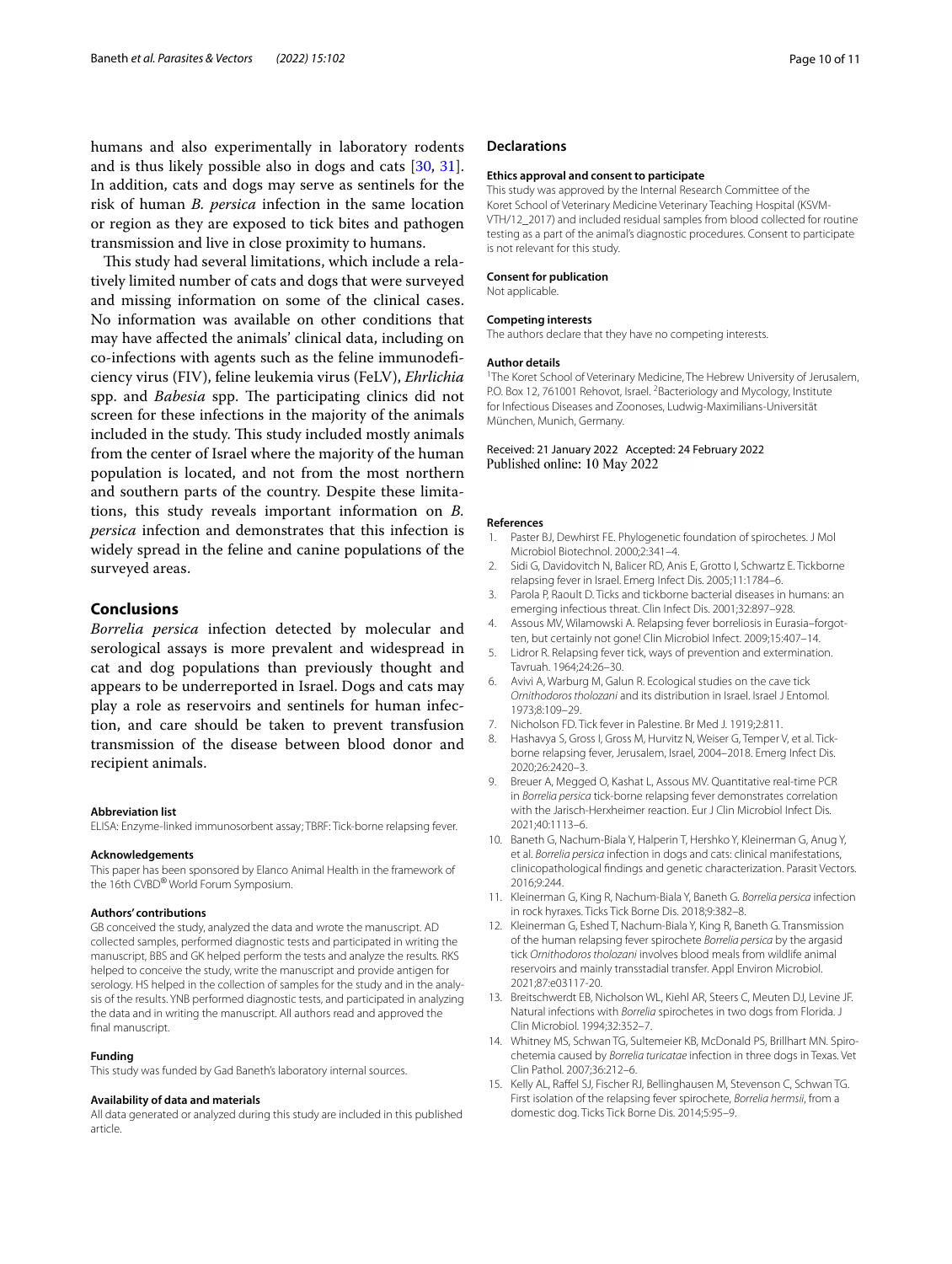humans and also experimentally in laboratory rodents and is thus likely possible also in dogs and cats [\[30,](#page-10-14) [31](#page-10-15)]. In addition, cats and dogs may serve as sentinels for the risk of human *B. persica* infection in the same location or region as they are exposed to tick bites and pathogen transmission and live in close proximity to humans.

This study had several limitations, which include a relatively limited number of cats and dogs that were surveyed and missing information on some of the clinical cases. No information was available on other conditions that may have afected the animals' clinical data, including on co-infections with agents such as the feline immunodefciency virus (FIV), feline leukemia virus (FeLV), *Ehrlichia* spp. and *Babesia* spp. The participating clinics did not screen for these infections in the majority of the animals included in the study. This study included mostly animals from the center of Israel where the majority of the human population is located, and not from the most northern and southern parts of the country. Despite these limitations, this study reveals important information on *B. persica* infection and demonstrates that this infection is widely spread in the feline and canine populations of the surveyed areas.

## **Conclusions**

*Borrelia persica* infection detected by molecular and serological assays is more prevalent and widespread in cat and dog populations than previously thought and appears to be underreported in Israel. Dogs and cats may play a role as reservoirs and sentinels for human infection, and care should be taken to prevent transfusion transmission of the disease between blood donor and recipient animals.

#### **Abbreviation list**

ELISA: Enzyme-linked immunosorbent assay; TBRF: Tick-borne relapsing fever.

#### **Acknowledgements**

This paper has been sponsored by Elanco Animal Health in the framework of the 16th CVBD® World Forum Symposium.

#### **Authors' contributions**

GB conceived the study, analyzed the data and wrote the manuscript. AD collected samples, performed diagnostic tests and participated in writing the manuscript, BBS and GK helped perform the tests and analyze the results. RKS helped to conceive the study, write the manuscript and provide antigen for serology. HS helped in the collection of samples for the study and in the analysis of the results. YNB performed diagnostic tests, and participated in analyzing the data and in writing the manuscript. All authors read and approved the final manuscript.

#### **Funding**

This study was funded by Gad Baneth's laboratory internal sources.

#### **Availability of data and materials**

All data generated or analyzed during this study are included in this published article.

#### **Declarations**

#### **Ethics approval and consent to participate**

This study was approved by the Internal Research Committee of the Koret School of Veterinary Medicine Veterinary Teaching Hospital (KSVM-VTH/12\_2017) and included residual samples from blood collected for routine testing as a part of the animal's diagnostic procedures. Consent to participate is not relevant for this study.

#### **Consent for publication**

Not applicable.

#### **Competing interests**

The authors declare that they have no competing interests.

#### **Author details**

<sup>1</sup>The Koret School of Veterinary Medicine, The Hebrew University of Jerusalem, P.O. Box 12, 761001 Rehovot, Israel. <sup>2</sup> Bacteriology and Mycology, Institute for Infectious Diseases and Zoonoses, Ludwig-Maximilians-Universität München, Munich, Germany.

# Received: 21 January 2022 Accepted: 24 February 2022

#### **References**

- <span id="page-9-0"></span>Paster BJ, Dewhirst FE. Phylogenetic foundation of spirochetes. J Mol Microbiol Biotechnol. 2000;2:341–4.
- <span id="page-9-1"></span>2. Sidi G, Davidovitch N, Balicer RD, Anis E, Grotto I, Schwartz E. Tickborne relapsing fever in Israel. Emerg Infect Dis. 2005;11:1784–6.
- <span id="page-9-2"></span>3. Parola P, Raoult D. Ticks and tickborne bacterial diseases in humans: an emerging infectious threat. Clin Infect Dis. 2001;32:897–928.
- <span id="page-9-3"></span>4. Assous MV, Wilamowski A. Relapsing fever borreliosis in Eurasia–forgotten, but certainly not gone! Clin Microbiol Infect. 2009;15:407–14.
- <span id="page-9-4"></span>5. Lidror R. Relapsing fever tick, ways of prevention and extermination. Tavruah. 1964;24:26–30.
- <span id="page-9-5"></span>6. Avivi A, Warburg M, Galun R. Ecological studies on the cave tick *Ornithodoros tholozani* and its distribution in Israel. Israel J Entomol. 1973;8:109–29.
- <span id="page-9-6"></span>7. Nicholson FD. Tick fever in Palestine. Br Med J. 1919;2:811.
- <span id="page-9-7"></span>8. Hashavya S, Gross I, Gross M, Hurvitz N, Weiser G, Temper V, et al. Tickborne relapsing fever, Jerusalem, Israel, 2004–2018. Emerg Infect Dis. 2020;26:2420–3.
- <span id="page-9-8"></span>9. Breuer A, Megged O, Kashat L, Assous MV. Quantitative real-time PCR in *Borrelia persica* tick-borne relapsing fever demonstrates correlation with the Jarisch-Herxheimer reaction. Eur J Clin Microbiol Infect Dis. 2021;40:1113–6.
- <span id="page-9-9"></span>10. Baneth G, Nachum-Biala Y, Halperin T, Hershko Y, Kleinerman G, Anug Y, et al. *Borrelia persica* infection in dogs and cats: clinical manifestations, clinicopathological fndings and genetic characterization. Parasit Vectors. 2016;9:244.
- <span id="page-9-10"></span>11. Kleinerman G, King R, Nachum-Biala Y, Baneth G. *Borrelia persica* infection in rock hyraxes. Ticks Tick Borne Dis. 2018;9:382–8.
- <span id="page-9-11"></span>12. Kleinerman G, Eshed T, Nachum-Biala Y, King R, Baneth G. Transmission of the human relapsing fever spirochete *Borrelia persica* by the argasid tick *Ornithodoros tholozani* involves blood meals from wildlife animal reservoirs and mainly transstadial transfer. Appl Environ Microbiol. 2021;87:e03117-20.
- <span id="page-9-12"></span>13. Breitschwerdt EB, Nicholson WL, Kiehl AR, Steers C, Meuten DJ, Levine JF. Natural infections with *Borrelia* spirochetes in two dogs from Florida. J Clin Microbiol. 1994;32:352–7.
- <span id="page-9-14"></span>14. Whitney MS, Schwan TG, Sultemeier KB, McDonald PS, Brillhart MN. Spirochetemia caused by *Borrelia turicatae* infection in three dogs in Texas. Vet Clin Pathol. 2007;36:212–6.
- <span id="page-9-13"></span>15. Kelly AL, Rafel SJ, Fischer RJ, Bellinghausen M, Stevenson C, Schwan TG. First isolation of the relapsing fever spirochete, *Borrelia hermsii*, from a domestic dog. Ticks Tick Borne Dis. 2014;5:95–9.